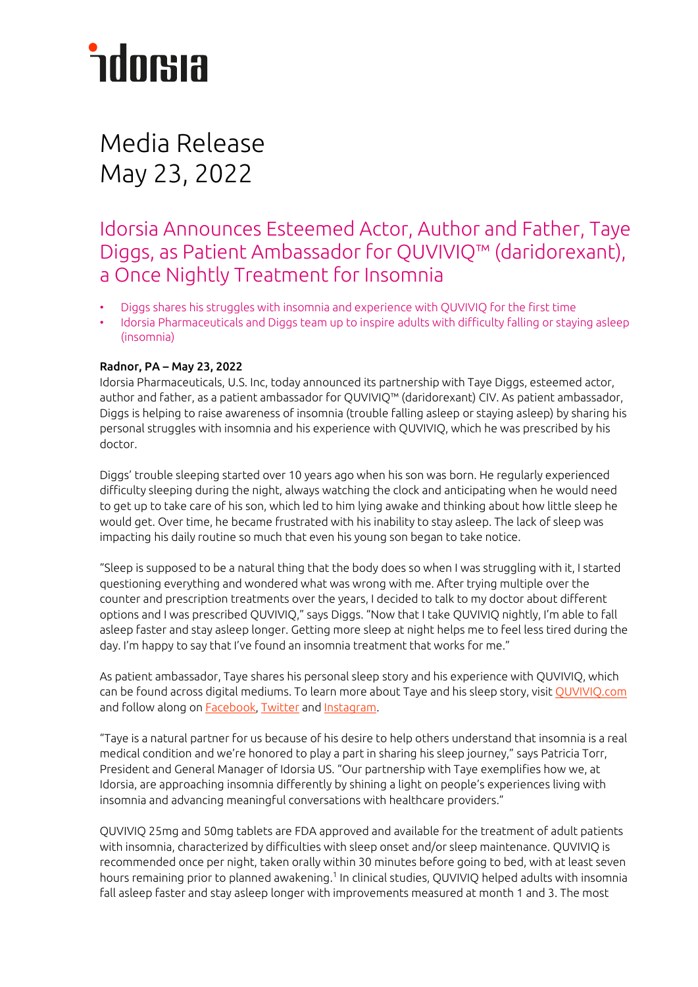# *<u>ndorsia</u>*

# Media Release May 23, 2022

# Idorsia Announces Esteemed Actor, Author and Father, Taye Diggs, as Patient Ambassador for QUVIVIQ™ (daridorexant), a Once Nightly Treatment for Insomnia

- Diggs shares his struggles with insomnia and experience with QUVIVIQ for the first time
- Idorsia Pharmaceuticals and Diggs team up to inspire adults with difficulty falling or staying asleep (insomnia)

# Radnor, PA – May 23, 2022

Idorsia Pharmaceuticals, U.S. Inc, today announced its partnership with Taye Diggs, esteemed actor, author and father, as a patient ambassador for QUVIVIQ™ (daridorexant) CIV. As patient ambassador, Diggs is helping to raise awareness of insomnia (trouble falling asleep or staying asleep) by sharing his personal struggles with insomnia and his experience with QUVIVIQ, which he was prescribed by his doctor.

Diggs' trouble sleeping started over 10 years ago when his son was born. He regularly experienced difficulty sleeping during the night, always watching the clock and anticipating when he would need to get up to take care of his son, which led to him lying awake and thinking about how little sleep he would get. Over time, he became frustrated with his inability to stay asleep. The lack of sleep was impacting his daily routine so much that even his young son began to take notice.

"Sleep is supposed to be a natural thing that the body does so when I was struggling with it, I started questioning everything and wondered what was wrong with me. After trying multiple over the counter and prescription treatments over the years, I decided to talk to my doctor about different options and I was prescribed QUVIVIQ," says Diggs. "Now that I take QUVIVIQ nightly, I'm able to fall asleep faster and stay asleep longer. Getting more sleep at night helps me to feel less tired during the day. I'm happy to say that I've found an insomnia treatment that works for me."

As patient ambassador, Taye shares his personal sleep story and his experience with QUVIVIQ, which can be found across digital mediums. To learn more about Taye and his sleep story, visit QUVIVIQ.com and follow along o[n Facebook,](https://www.facebook.com/QUVIVIQ) [Twitter](https://twitter.com/QUVIVIQ) an[d Instagram.](https://www.instagram.com/QUVIVIQ/) 

"Taye is a natural partner for us because of his desire to help others understand that insomnia is a real medical condition and we're honored to play a part in sharing his sleep journey," says Patricia Torr, President and General Manager of Idorsia US. "Our partnership with Taye exemplifies how we, at Idorsia, are approaching insomnia differently by shining a light on people's experiences living with insomnia and advancing meaningful conversations with healthcare providers."

QUVIVIQ 25mg and 50mg tablets are FDA approved and available for the treatment of adult patients with insomnia, characterized by difficulties with sleep onset and/or sleep maintenance. QUVIVIQ is recommended once per night, taken orally within 30 minutes before going to bed, with at least seven hours remaining prior to planned awakening.<sup>1</sup> In clinical studies, QUVIVIQ helped adults with insomnia fall asleep faster and stay asleep longer with improvements measured at month 1 and 3. The most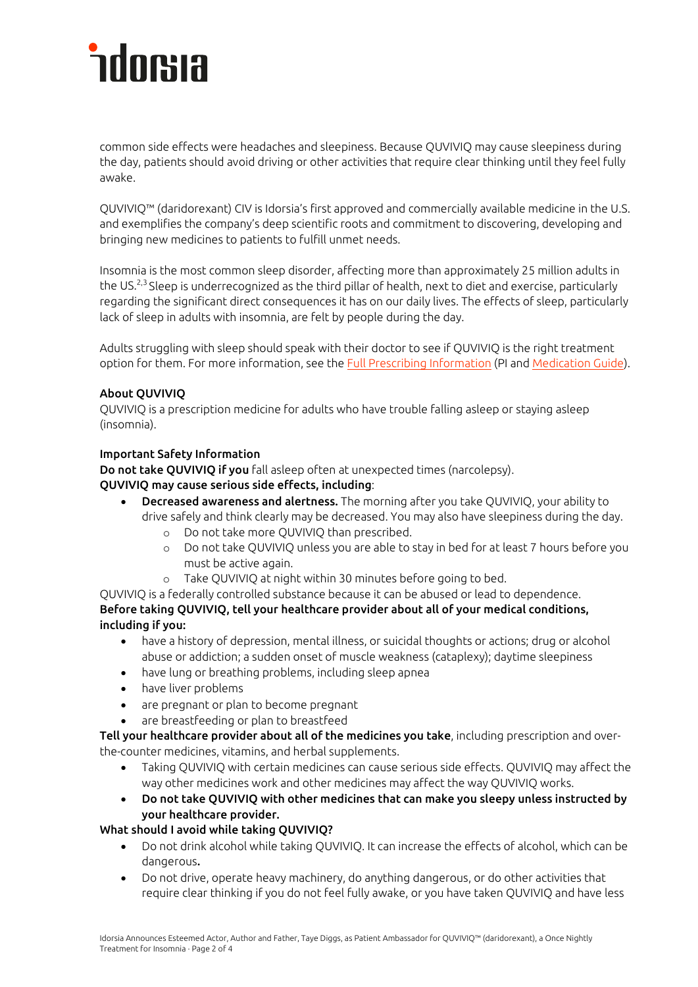# *<u>ndorsia</u>*

common side effects were headaches and sleepiness. Because QUVIVIQ may cause sleepiness during the day, patients should avoid driving or other activities that require clear thinking until they feel fully awake.

QUVIVIQ™ (daridorexant) CIV is Idorsia's first approved and commercially available medicine in the U.S. and exemplifies the company's deep scientific roots and commitment to discovering, developing and bringing new medicines to patients to fulfill unmet needs.

Insomnia is the most common sleep disorder, affecting more than approximately 25 million adults in the US.2,3 Sleep is underrecognized as the third pillar of health, next to diet and exercise, particularly regarding the significant direct consequences it has on our daily lives. The effects of sleep, particularly lack of sleep in adults with insomnia, are felt by people during the day.

Adults struggling with sleep should speak with their doctor to see if QUVIVIQ is the right treatment option for them. For more information, see the [Full Prescribing Information](https://www.idorsia.us/documents/us/label/Quviviq_PI.pdf) (PI an[d Medication Guide\)](https://www.idorsia.us/documents/us/label/Quviviq_MG.pdf).

# About QUVIVIQ

QUVIVIQ is a prescription medicine for adults who have trouble falling asleep or staying asleep (insomnia).

# Important Safety Information

Do not take QUVIVIQ if you fall asleep often at unexpected times (narcolepsy).

# QUVIVIQ may cause serious side effects, including:

- Decreased awareness and alertness. The morning after you take QUVIVIQ, your ability to drive safely and think clearly may be decreased. You may also have sleepiness during the day.
	- o Do not take more QUVIVIQ than prescribed.
	- o Do not take QUVIVIQ unless you are able to stay in bed for at least 7 hours before you must be active again.
	- Take QUVIVIQ at night within 30 minutes before going to bed.

QUVIVIQ is a federally controlled substance because it can be abused or lead to dependence. Before taking QUVIVIQ, tell your healthcare provider about all of your medical conditions, including if you:

- have a history of depression, mental illness, or suicidal thoughts or actions; drug or alcohol abuse or addiction; a sudden onset of muscle weakness (cataplexy); daytime sleepiness
- have lung or breathing problems, including sleep apnea
- have liver problems
- are pregnant or plan to become pregnant
- are breastfeeding or plan to breastfeed

Tell your healthcare provider about all of the medicines you take, including prescription and overthe-counter medicines, vitamins, and herbal supplements.

- Taking QUVIVIQ with certain medicines can cause serious side effects. QUVIVIQ may affect the way other medicines work and other medicines may affect the way QUVIVIQ works.
- Do not take QUVIVIQ with other medicines that can make you sleepy unless instructed by your healthcare provider.

# What should I avoid while taking QUVIVIQ?

- Do not drink alcohol while taking QUVIVIQ. It can increase the effects of alcohol, which can be dangerous.
- Do not drive, operate heavy machinery, do anything dangerous, or do other activities that require clear thinking if you do not feel fully awake, or you have taken QUVIVIQ and have less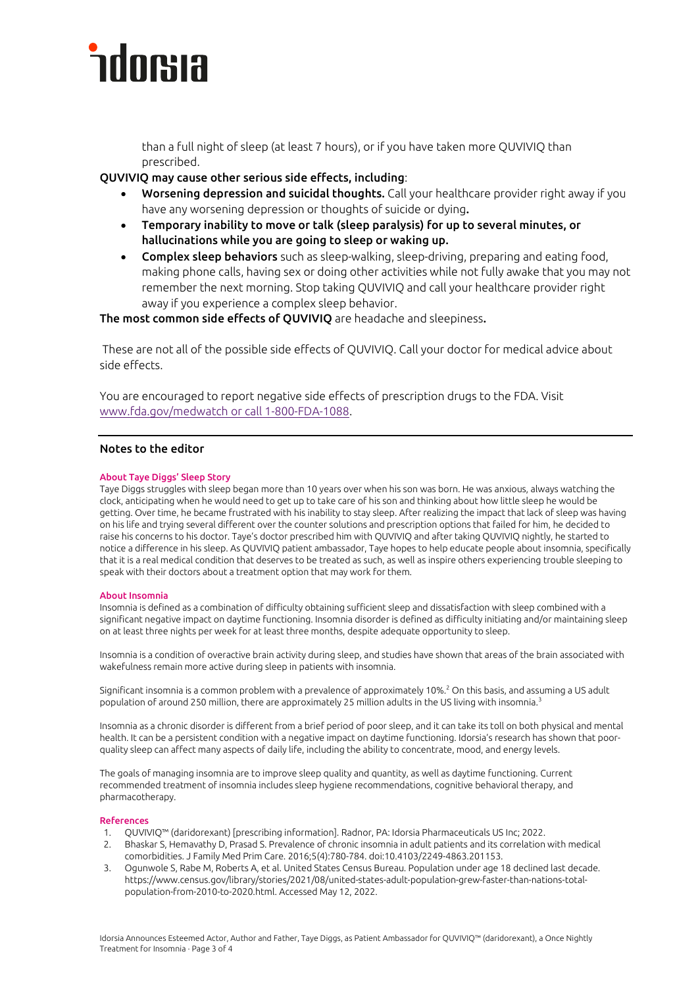

than a full night of sleep (at least 7 hours), or if you have taken more QUVIVIQ than prescribed.

QUVIVIQ may cause other serious side effects, including:

- Worsening depression and suicidal thoughts. Call your healthcare provider right away if you have any worsening depression or thoughts of suicide or dying.
- Temporary inability to move or talk (sleep paralysis) for up to several minutes, or hallucinations while you are going to sleep or waking up.
- Complex sleep behaviors such as sleep-walking, sleep-driving, preparing and eating food, making phone calls, having sex or doing other activities while not fully awake that you may not remember the next morning. Stop taking QUVIVIQ and call your healthcare provider right away if you experience a complex sleep behavior.

The most common side effects of QUVIVIQ are headache and sleepiness.

These are not all of the possible side effects of QUVIVIQ. Call your doctor for medical advice about side effects.

You are encouraged to report negative side effects of prescription drugs to the FDA. Visit [www.fda.gov/medwatch](http://www.fda.gov/medwatch%20or%20call%201-800-FDA-1088) or call 1-800-FDA-1088.

### Notes to the editor

### About Taye Diggs' Sleep Story

Taye Diggs struggles with sleep began more than 10 years over when his son was born. He was anxious, always watching the clock, anticipating when he would need to get up to take care of his son and thinking about how little sleep he would be getting. Over time, he became frustrated with his inability to stay sleep. After realizing the impact that lack of sleep was having on his life and trying several different over the counter solutions and prescription options that failed for him, he decided to raise his concerns to his doctor. Taye's doctor prescribed him with QUVIVIQ and after taking QUVIVIQ nightly, he started to notice a difference in his sleep. As QUVIVIQ patient ambassador, Taye hopes to help educate people about insomnia, specifically that it is a real medical condition that deserves to be treated as such, as well as inspire others experiencing trouble sleeping to speak with their doctors about a treatment option that may work for them.

#### About Insomnia

Insomnia is defined as a combination of difficulty obtaining sufficient sleep and dissatisfaction with sleep combined with a significant negative impact on daytime functioning. Insomnia disorder is defined as difficulty initiating and/or maintaining sleep on at least three nights per week for at least three months, despite adequate opportunity to sleep.

Insomnia is a condition of overactive brain activity during sleep, and studies have shown that areas of the brain associated with wakefulness remain more active during sleep in patients with insomnia.

Significant insomnia is a common problem with a prevalence of approximately 10%.<sup>2</sup> On this basis, and assuming a US adult population of around 250 million, there are approximately 25 million adults in the US living with insomnia.<sup>3</sup>

Insomnia as a chronic disorder is different from a brief period of poor sleep, and it can take its toll on both physical and mental health. It can be a persistent condition with a negative impact on daytime functioning. Idorsia's research has shown that poorquality sleep can affect many aspects of daily life, including the ability to concentrate, mood, and energy levels.

The goals of managing insomnia are to improve sleep quality and quantity, as well as daytime functioning. Current recommended treatment of insomnia includes sleep hygiene recommendations, cognitive behavioral therapy, and pharmacotherapy.

#### References

- 1. QUVIVIQ™ (daridorexant) [prescribing information]. Radnor, PA: Idorsia Pharmaceuticals US Inc; 2022.
- 2. Bhaskar S, Hemavathy D, Prasad S. Prevalence of chronic insomnia in adult patients and its correlation with medical comorbidities. J Family Med Prim Care. 2016;5(4):780-784. doi:10.4103/2249-4863.201153.
- 3. Ogunwole S, Rabe M, Roberts A, et al. United States Census Bureau. Population under age 18 declined last decade. https://www.census.gov/library/stories/2021/08/united-states-adult-population-grew-faster-than-nations-totalpopulation-from-2010-to-2020.html. Accessed May 12, 2022.